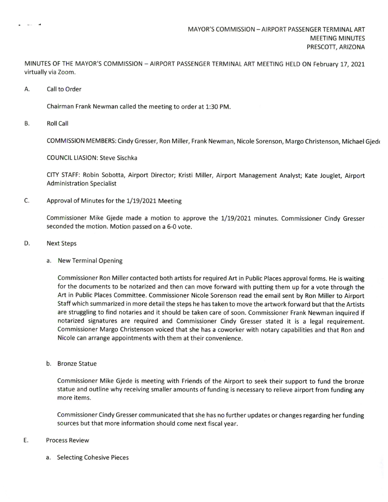MINUTES OF THE MAYOR'S COMMISSION - AIRPORT PASSENGER TERMINAL ART MEETING HELD ON February 17, 2021 virtually via Zoom.

A. Call to Order

Service of

Chairman Frank Newman called the meeting to order at 1: 30 PM.

B. Roll Call

COMMISSION MEMBERS: Cindy Gresser, Ron Miller, Frank Newman, Nicole Sorenson, Margo Christenson, Michael Gjeth

COUNCIL LIASION: Steve Sischka

CITY STAFF: Robin Sobotta, Airport Director; Kristi Miller, Airport Management Analyst; Kate Jouglet, Airport Administration Specialist

C. Approval of Minutes for the 1/19/2021 Meeting

Commissioner Mike Gjede made a motion to approve the 1/19/2021 minutes. Commissioner Cindy Gresser seconded the motion. Motion passed on <sup>a</sup> 6-0 vote.

- D. Next Steps
	- a. New Terminal Opening

Commissioner Ron Miller contacted both artists for required Art in Public Places approval forms. He is waiting for the documents to be notarized and then can move forward with putting them up for <sup>a</sup> vote through the Art in Public Places Committee. Commissioner Nicole Sorenson read the email sent by Ron Miller to Airport Staff which summarized in more detail the steps he has taken to move the artwork forward but that the Artists are struggling to find notaries and it should be taken care of soon. Commissioner Frank Newman inquired if notarized signatures are required and Commissioner Cindy Gresser stated it is <sup>a</sup> legal requirement. Commissioner Margo Christenson voiced that she has <sup>a</sup> coworker with notary capabilities and that Ron and Nicole can arrange appointments with them at their convenience.

b. Bronze Statue

Commissioner Mike Gjede is meeting with Friends of the Airport to seek their support to fund the bronze statue and outline why receiving smaller amounts of funding is necessary to relieve airport from funding any more items.

Commissioner Cindy Gresser communicated that she has no further updates or changes regarding her funding sources but that more information should come next fiscal year.

## E. Process Review

a. Selecting Cohesive Pieces